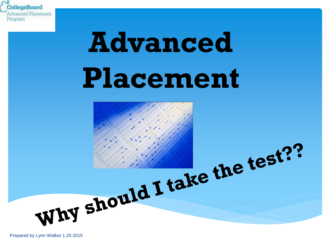

# **Advanced Placement**

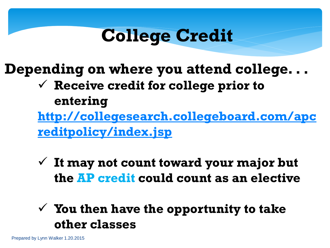#### **College Credit**

**Depending on where you attend college. . .**

 **Receive credit for college prior to entering [http://collegesearch.collegeboard.com/apc](http://collegesearch.collegeboard.com/apcreditpolicy/index.jsp)**

**reditpolicy/index.jsp**

 **It may not count toward your major but the AP credit could count as an elective**

#### **You then have the opportunity to take other classes**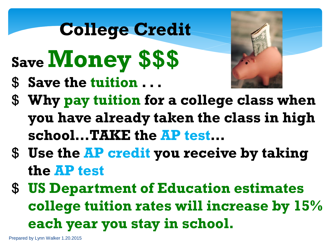### **College Credit**

- **Save Money \$\$\$**
- \$ **Save the tuition . . .**



- \$ **Why pay tuition for a college class when you have already taken the class in high school…TAKE the AP test…**
- \$ **Use the AP credit you receive by taking the AP test**
- \$ **US Department of Education estimates college tuition rates will increase by 15% each year you stay in school.**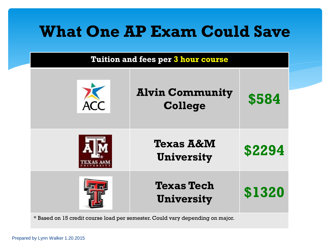#### **Tuition and fees per 3 hour course**

| <b>Alvin Community</b><br><b>College</b>  | \$584  |  |
|-------------------------------------------|--------|--|
| <b>Texas A&amp;M</b><br><b>University</b> | \$2294 |  |
| <b>Texas Tech</b><br><b>University</b>    | \$1320 |  |

\* Based on 15 credit course load per semester. Could vary depending on major.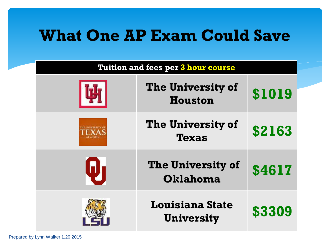| <b>Tuition and fees per 3 hour course</b> |                                             |        |
|-------------------------------------------|---------------------------------------------|--------|
|                                           | <b>The University of</b><br><b>Houston</b>  | \$1019 |
|                                           | <b>The University of</b><br><b>Texas</b>    | \$2163 |
| W                                         | <b>The University of</b><br>Oklahoma        | \$4617 |
|                                           | <b>Louisiana State</b><br><b>University</b> | \$3309 |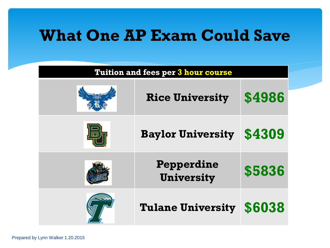| <b>Tuition and fees per 3 hour course</b> |                                 |        |  |
|-------------------------------------------|---------------------------------|--------|--|
|                                           | <b>Rice University</b>          | \$4986 |  |
|                                           | <b>Baylor University</b>        | \$4309 |  |
|                                           | Pepperdine<br><b>University</b> | \$5836 |  |
|                                           | <b>Tulane University</b>        | \$6038 |  |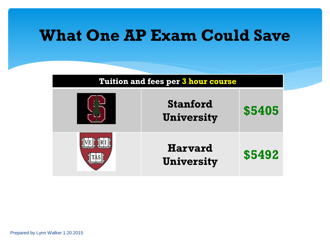| <b>Tuition and fees per 3 hour course</b> |                                      |        |
|-------------------------------------------|--------------------------------------|--------|
|                                           | <b>Stanford</b><br><b>University</b> | \$5405 |
|                                           | <b>Harvard</b><br><b>University</b>  | \$5492 |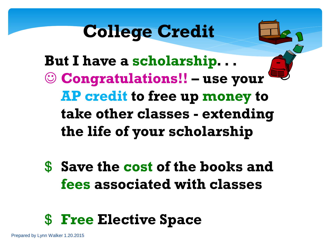### **College Credit**

**But I have a scholarship. . . Congratulations!! – use your AP credit to free up money to take other classes - extending the life of your scholarship**

\$ **Save the cost of the books and fees associated with classes**

#### \$ **Free Elective Space**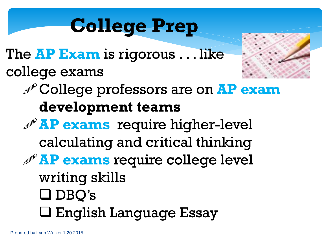### **College Prep**

The **AP Exam** is rigorous . . . like college exams



College professors are on **AP exam development teams**

**AP exams** require higher-level calculating and critical thinking **AP exams** require college level writing skills DBQ's English Language Essay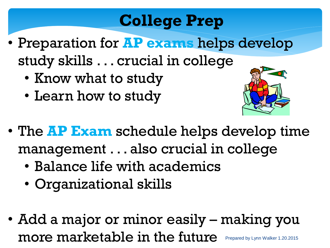#### **College Prep**

- Preparation for **AP exams** helps develop study skills . . . crucial in college
	- Know what to study
	- Learn how to study



- The **AP Exam** schedule helps develop time management . . . also crucial in college
	- Balance life with academics
	- Organizational skills
- Add a major or minor easily making you more marketable in the future Prepared by Lynn Walker 1.20.2015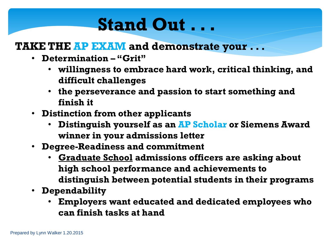#### **Stand Out . . .**

#### **TAKE THE AP EXAM and demonstrate your . . .**

- **Determination – "Grit"** 
	- **willingness to embrace hard work, critical thinking, and difficult challenges**
	- **the perseverance and passion to start something and finish it**
- **Distinction from other applicants**
	- **Distinguish yourself as an AP Scholar or Siemens Award winner in your admissions letter**
- **Degree-Readiness and commitment**
	- **Graduate School admissions officers are asking about high school performance and achievements to distinguish between potential students in their programs**
- **Dependability**
	- **Employers want educated and dedicated employees who can finish tasks at hand**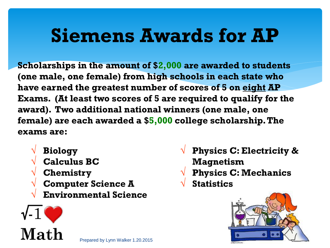### **Siemens Awards for AP**

**Scholarships in the amount of \$2,000 are awarded to students (one male, one female) from high schools in each state who have earned the greatest number of scores of 5 on eight AP Exams. (At least two scores of 5 are required to qualify for the award). Two additional national winners (one male, one female) are each awarded a \$5,000 college scholarship. The exams are:**

- √ **Biology**
- √ **Calculus BC**
- √ **Chemistry**
- √ **Computer Science A**
- √ **Environmental Science**

**Math** 

- √ **Physics C: Electricity & Magnetism**
- √ **Physics C: Mechanics**
- √ **Statistics**

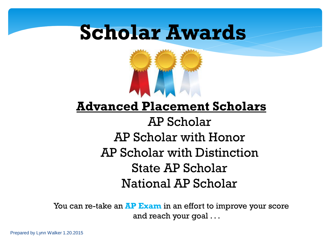

#### **Advanced Placement Scholars**

#### AP Scholar AP Scholar with Honor AP Scholar with Distinction State AP Scholar National AP Scholar

You can re-take an **AP Exam** in an effort to improve your score and reach your goal . . .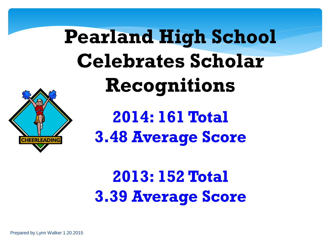# **Pearland High School Celebrates Scholar Recognitions**



**2014: 161 Total 3.48 Average Score**

### **2013: 152 Total 3.39 Average Score**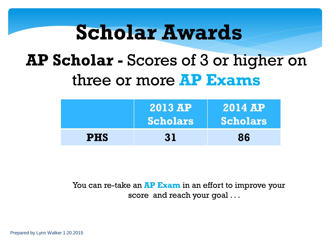#### **AP Scholar -** Scores of 3 or higher on three or more **AP Exams**

|            | <b>2013 AP</b><br><b>Scholars</b> | <b>2014 AP</b><br><b>Scholars</b> |
|------------|-----------------------------------|-----------------------------------|
| <b>PHS</b> | 31                                | 86                                |

You can re-take an **AP Exam** in an effort to improve your score and reach your goal ...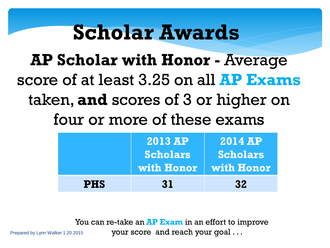**AP Scholar with Honor -** Average score of at least 3.25 on all **AP Exams**  taken, **and** scores of 3 or higher on four or more of these exams

|            | <b>2013 AP</b><br><b>Scholars</b><br>with Honor   with Honor | <b>2014 AP</b><br><b>Scholars</b> |
|------------|--------------------------------------------------------------|-----------------------------------|
| <b>PHS</b> | 31                                                           | 32                                |

You can re-take an **AP Exam** in an effort to improve your score and reach your goal . . .

Prepared by Lynn Walker 1.20.2015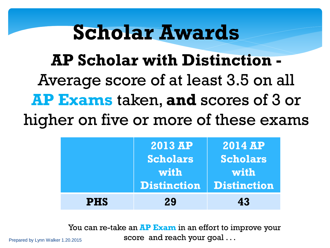**AP Scholar with Distinction -** Average score of at least 3.5 on all **AP Exams** taken, **and** scores of 3 or higher on five or more of these exams

|            | <b>2013 AP</b><br><b>Scholars</b><br>with | <b>2014 AP</b><br><b>Scholars</b><br>with<br><b>Distinction Distinction</b> |
|------------|-------------------------------------------|-----------------------------------------------------------------------------|
| <b>PHS</b> | 29                                        | 43                                                                          |

You can re-take an **AP Exam** in an effort to improve your score and reach your goal . . .

Prepared by Lynn Walker 1.20.2015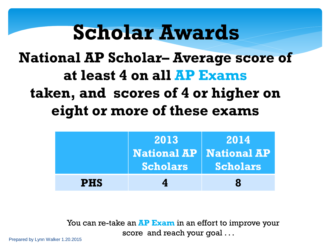#### **National AP Scholar– Average score of at least 4 on all AP Exams taken, and scores of 4 or higher on eight or more of these exams**

|            | 2013<br><b>National AP   National AP</b><br><b>Scholars</b> | 2014<br><b>Scholars</b> |
|------------|-------------------------------------------------------------|-------------------------|
| <b>PHS</b> |                                                             | Я                       |

You can re-take an **AP Exam** in an effort to improve your score and reach your goal . . .